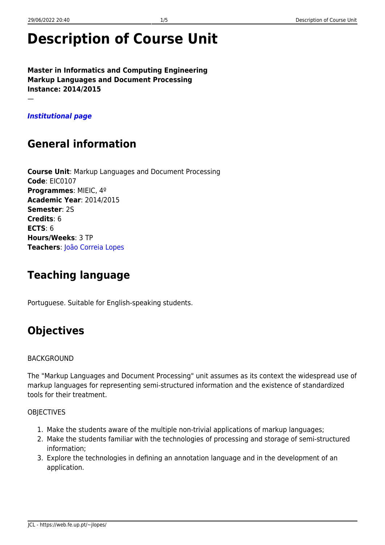# **Description of Course Unit**

**Master in Informatics and Computing Engineering Markup Languages and Document Processing Instance: 2014/2015** —

*[Institutional page](https://sigarra.up.pt/feup/en/ucurr_geral.ficha_uc_view?pv_ocorrencia_id=350420)*

#### **General information**

**Course Unit**: Markup Languages and Document Processing **Code**: EIC0107 **Programmes**: MIEIC, 4º **Academic Year**: 2014/2015 **Semester**: 2S **Credits**: 6 **ECTS**: 6 **Hours/Weeks**: 3 TP **Teachers**: [João Correia Lopes](http://www.fe.up.pt/uk/funcionarios_geral.FormView?p_codigo=230756)

### **Teaching language**

Portuguese. Suitable for English-speaking students.

# **Objectives**

#### **BACKGROUND**

The "Markup Languages and Document Processing" unit assumes as its context the widespread use of markup languages for representing semi-structured information and the existence of standardized tools for their treatment.

#### **OBJECTIVES**

- 1. Make the students aware of the multiple non-trivial applications of markup languages;
- 2. Make the students familiar with the technologies of processing and storage of semi-structured information;
- 3. Explore the technologies in defining an annotation language and in the development of an application.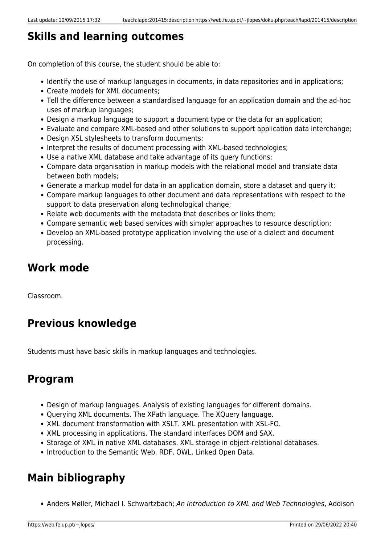### **Skills and learning outcomes**

On completion of this course, the student should be able to:

- Identify the use of markup languages in documents, in data repositories and in applications;
- Create models for XML documents;
- Tell the difference between a standardised language for an application domain and the ad-hoc uses of markup languages;
- Design a markup language to support a document type or the data for an application;
- Evaluate and compare XML-based and other solutions to support application data interchange;
- Design XSL stylesheets to transform documents;
- Interpret the results of document processing with XML-based technologies;
- Use a native XML database and take advantage of its query functions;
- Compare data organisation in markup models with the relational model and translate data between both models;
- Generate a markup model for data in an application domain, store a dataset and query it;
- Compare markup languages to other document and data representations with respect to the support to data preservation along technological change;
- Relate web documents with the metadata that describes or links them;
- Compare semantic web based services with simpler approaches to resource description;
- Develop an XML-based prototype application involving the use of a dialect and document processing.

#### **Work mode**

Classroom.

#### **Previous knowledge**

Students must have basic skills in markup languages and technologies.

#### **Program**

- Design of markup languages. Analysis of existing languages for different domains.
- Querying XML documents. The XPath language. The XQuery language.
- XML document transformation with XSLT. XML presentation with XSL-FO.
- XML processing in applications. The standard interfaces DOM and SAX.
- Storage of XML in native XML databases. XML storage in object-relational databases.
- Introduction to the Semantic Web. RDF, OWL, Linked Open Data.

# **Main bibliography**

• Anders Møller, Michael I. Schwartzbach; An Introduction to XML and Web Technologies, Addison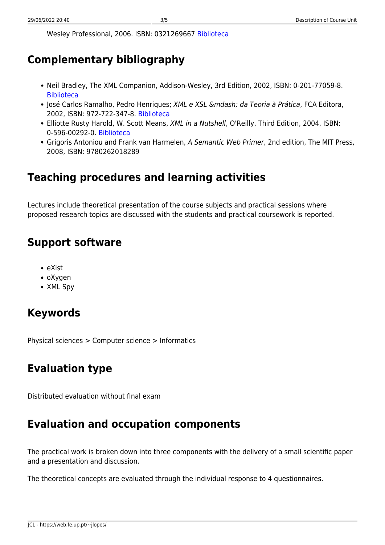Wesley Professional, 2006. ISBN: 0321269667 [Biblioteca](http://aleph.fe.up.pt/F/-?func=find-b&find_code=SYS&request=000074209)

# **Complementary bibliography**

- Neil Bradley, The XML Companion, Addison-Wesley, 3rd Edition, 2002, ISBN: 0-201-77059-8. **[Biblioteca](http://aleph.fe.up.pt/F/-?func=find-b&find_code=SYS&request=000050335)**
- · José Carlos Ramalho, Pedro Henriques; XML e XSL & mdash; da Teoria à Prática, FCA Editora, 2002, ISBN: 972-722-347-8. [Biblioteca](http://aleph.fe.up.pt/F/-?func=find-b&find_code=SYS&request=000057949)
- Elliotte Rusty Harold, W. Scott Means, XML in a Nutshell, O'Reilly, Third Edition, 2004, ISBN: 0-596-00292-0. [Biblioteca](http://aleph.fe.up.pt/F/-?func=find-b&find_code=SYS&request=000057950)
- Grigoris Antoniou and Frank van Harmelen, A Semantic Web Primer, 2nd edition, The MIT Press, 2008, ISBN: 9780262018289

# **Teaching procedures and learning activities**

Lectures include theoretical presentation of the course subjects and practical sessions where proposed research topics are discussed with the students and practical coursework is reported.

# **Support software**

- eXist
- oXygen
- XML Spy

# **Keywords**

Physical sciences > Computer science > Informatics

# **Evaluation type**

Distributed evaluation without final exam

#### **Evaluation and occupation components**

The practical work is broken down into three components with the delivery of a small scientific paper and a presentation and discussion.

The theoretical concepts are evaluated through the individual response to 4 questionnaires.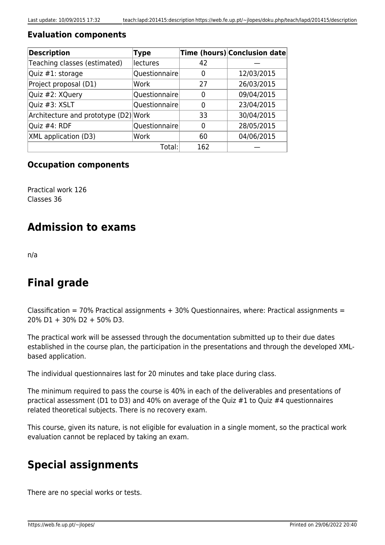#### **Evaluation components**

| <b>Description</b>                   | <b>Type</b>     |     | Time (hours) Conclusion date |
|--------------------------------------|-----------------|-----|------------------------------|
| Teaching classes (estimated)         | <b>lectures</b> | 42  |                              |
| Quiz #1: storage                     | Questionnaire   | 0   | 12/03/2015                   |
| Project proposal (D1)                | Work            | 27  | 26/03/2015                   |
| Quiz #2: XQuery                      | Questionnaire   | 0   | 09/04/2015                   |
| Quiz #3: XSLT                        | Questionnaire   | 0   | 23/04/2015                   |
| Architecture and prototype (D2) Work |                 | 33  | 30/04/2015                   |
| Quiz #4: RDF                         | Questionnaire   | 0   | 28/05/2015                   |
| <b>XML</b> application (D3)          | Work            | 60  | 04/06/2015                   |
|                                      | Total:          | 162 |                              |

#### **Occupation components**

Practical work 126 Classes 36

#### **Admission to exams**

n/a

#### **Final grade**

Classification = 70% Practical assignments + 30% Questionnaires, where: Practical assignments = 20% D1 + 30% D2 + 50% D3.

The practical work will be assessed through the documentation submitted up to their due dates established in the course plan, the participation in the presentations and through the developed XMLbased application.

The individual questionnaires last for 20 minutes and take place during class.

The minimum required to pass the course is 40% in each of the deliverables and presentations of practical assessment (D1 to D3) and 40% on average of the Quiz #1 to Quiz #4 questionnaires related theoretical subjects. There is no recovery exam.

This course, given its nature, is not eligible for evaluation in a single moment, so the practical work evaluation cannot be replaced by taking an exam.

# **Special assignments**

There are no special works or tests.